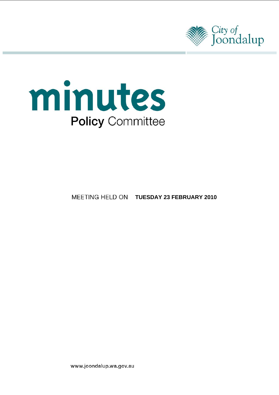



# **MEETING HELD ON TUESDAY 23 FEBRUARY 2010**

www.joondalup.wa.gov.au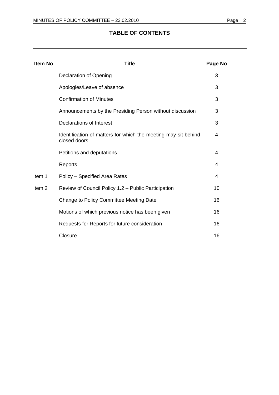# **TABLE OF CONTENTS**

| <b>Item No</b>    | Title                                                                          | Page No |
|-------------------|--------------------------------------------------------------------------------|---------|
|                   | <b>Declaration of Opening</b>                                                  | 3       |
|                   | Apologies/Leave of absence                                                     | 3       |
|                   | <b>Confirmation of Minutes</b>                                                 | 3       |
|                   | Announcements by the Presiding Person without discussion                       | 3       |
|                   | <b>Declarations of Interest</b>                                                | 3       |
|                   | Identification of matters for which the meeting may sit behind<br>closed doors | 4       |
|                   | Petitions and deputations                                                      | 4       |
|                   | Reports                                                                        | 4       |
| Item 1            | Policy – Specified Area Rates                                                  | 4       |
| Item <sub>2</sub> | Review of Council Policy 1.2 - Public Participation                            | 10      |
|                   | Change to Policy Committee Meeting Date                                        | 16      |
|                   | Motions of which previous notice has been given                                | 16      |
|                   | Requests for Reports for future consideration                                  | 16      |
|                   | Closure                                                                        | 16      |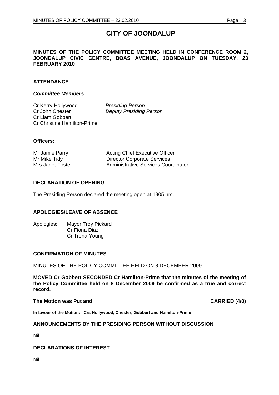# **CITY OF JOONDALUP**

# <span id="page-2-0"></span>**MINUTES OF THE POLICY COMMITTEE MEETING HELD IN CONFERENCE ROOM 2, JOONDALUP CIVIC CENTRE, BOAS AVENUE, JOONDALUP ON TUESDAY, 23 FEBRUARY 2010**

# **ATTENDANCE**

#### *Committee Members*

Cr Kerry Hollywood *Presiding Person*  Cr John Chester *Deputy Presiding Person*  Cr Liam Gobbert Cr Christine Hamilton-Prime

## **Officers:**

Mr Jamie Parry **Acting Chief Executive Officer** Mr Mike Tidy **Director Corporate Services** Mrs Janet Foster **Administrative Services Coordinator** 

# **DECLARATION OF OPENING**

The Presiding Person declared the meeting open at 1905 hrs.

# **APOLOGIES/LEAVE OF ABSENCE**

Apologies: Mayor Troy Pickard Cr Fiona Diaz Cr Trona Young

#### **CONFIRMATION OF MINUTES**

#### MINUTES OF THE POLICY COMMITTEE HELD ON 8 DECEMBER 2009

**MOVED Cr Gobbert SECONDED Cr Hamilton-Prime that the minutes of the meeting of the Policy Committee held on 8 December 2009 be confirmed as a true and correct record.** 

#### **The Motion was Put and CARRIED (4/0) CARRIED (4/0)**

**In favour of the Motion: Crs Hollywood, Chester, Gobbert and Hamilton-Prime**

#### **ANNOUNCEMENTS BY THE PRESIDING PERSON WITHOUT DISCUSSION**

Nil

#### **DECLARATIONS OF INTEREST**

Nil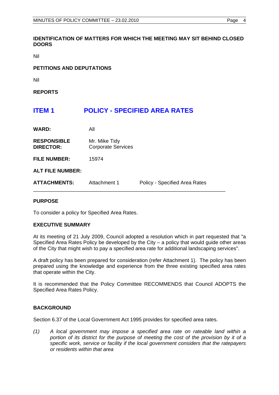# <span id="page-3-0"></span>**IDENTIFICATION OF MATTERS FOR WHICH THE MEETING MAY SIT BEHIND CLOSED DOORS**

Nil

# **PETITIONS AND DEPUTATIONS**

Nil

**REPORTS** 

# **ITEM 1 POLICY - SPECIFIED AREA RATES**

| <b>WARD:</b>                           | All                                        |                               |
|----------------------------------------|--------------------------------------------|-------------------------------|
| <b>RESPONSIBLE</b><br><b>DIRECTOR:</b> | Mr. Mike Tidy<br><b>Corporate Services</b> |                               |
| <b>FILE NUMBER:</b>                    | 15974                                      |                               |
| <b>ALT FILE NUMBER:</b>                |                                            |                               |
| <b>ATTACHMENTS:</b>                    | Attachment 1                               | Policy - Specified Area Rates |

# **PURPOSE**

To consider a policy for Specified Area Rates.

# **EXECUTIVE SUMMARY**

At its meeting of 21 July 2009, Council adopted a resolution which in part requested that "a Specified Area Rates Policy be developed by the City – a policy that would guide other areas of the City that might wish to pay a specified area rate for additional landscaping services".

A draft policy has been prepared for consideration (refer Attachment 1). The policy has been prepared using the knowledge and experience from the three existing specified area rates that operate within the City.

It is recommended that the Policy Committee RECOMMENDS that Council ADOPTS the Specified Area Rates Policy.

# **BACKGROUND**

Section 6.37 of the Local Government Act 1995 provides for specified area rates.

*(1) A local government may impose a specified area rate on rateable land within a portion of its district for the purpose of meeting the cost of the provision by it of a specific work, service or facility if the local government considers that the ratepayers or residents within that area*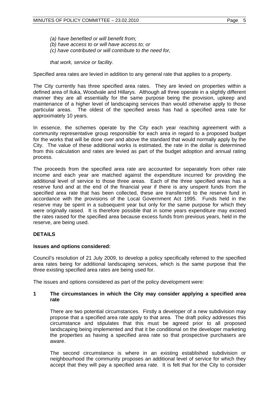*(a) have benefited or will benefit from; (b) have access to or will have access to; or (c) have contributed or will contribute to the need for,* 

*that work, service or facility.* 

Specified area rates are levied in addition to any general rate that applies to a property.

The City currently has three specified area rates. They are levied on properties within a defined area of Iluka, Woodvale and Hillarys. Although all three operate in a slightly different manner they are all essentially for the same purpose being the provision, upkeep and maintenance of a higher level of landscaping services than would otherwise apply to those particular areas. The oldest of the specified areas has had a specified area rate for approximately 10 years.

In essence, the schemes operate by the City each year reaching agreement with a community representative group responsible for each area in regard to a proposed budget for the works that will be done over and above the standard that would normally apply by the City. The value of these additional works is estimated, the rate in the dollar is determined from this calculation and rates are levied as part of the budget adoption and annual rating process.

The proceeds from the specified area rate are accounted for separately from other rate income and each year are matched against the expenditure incurred for providing the additional level of service to those three areas. Each of the three specified areas has a reserve fund and at the end of the financial year if there is any unspent funds from the specified area rate that has been collected, these are transferred to the reserve fund in accordance with the provisions of the Local Government Act 1995. Funds held in the reserve may be spent in a subsequent year but only for the same purpose for which they were originally raised. It is therefore possible that in some years expenditure may exceed the rates raised for the specified area because excess funds from previous years, held in the reserve, are being used.

# **DETAILS**

#### **Issues and options considered:**

Council's resolution of 21 July 2009, to develop a policy specifically referred to the specified area rates being for additional landscaping services, which is the same purpose that the three existing specified area rates are being used for.

The issues and options considered as part of the policy development were:

## **1 The circumstances in which the City may consider applying a specified area rate**

There are two potential circumstances. Firstly a developer of a new subdivision may propose that a specified area rate apply to that area. The draft policy addresses this circumstance and stipulates that this must be agreed prior to all proposed landscaping being implemented and that it be conditional on the developer marketing the properties as having a specified area rate so that prospective purchasers are aware.

The second circumstance is where in an existing established subdivision or neighbourhood the community proposes an additional level of service for which they accept that they will pay a specified area rate. It is felt that for the City to consider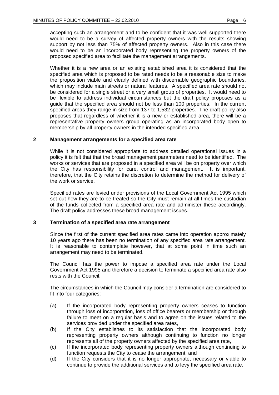accepting such an arrangement and to be confident that it was well supported there would need to be a survey of affected property owners with the results showing support by not less than 75% of affected property owners. Also in this case there would need to be an incorporated body representing the property owners of the proposed specified area to facilitate the management arrangements.

Whether it is a new area or an existing established area it is considered that the specified area which is proposed to be rated needs to be a reasonable size to make the proposition viable and clearly defined with discernable geographic boundaries, which may include main streets or natural features. A specified area rate should not be considered for a single street or a very small group of properties. It would need to be flexible to address individual circumstances but the draft policy proposes as a guide that the specified area should not be less than 100 properties. In the current specified areas they range in size from 137 to 1,532 properties. The draft policy also proposes that regardless of whether it is a new or established area, there will be a representative property owners group operating as an incorporated body open to membership by all property owners in the intended specified area.

# **2 Management arrangements for a specified area rate**

While it is not considered appropriate to address detailed operational issues in a policy it is felt that that the broad management parameters need to be identified. The works or services that are proposed in a specified area will be on property over which the City has responsibility for care, control and management. It is important, therefore, that the City retains the discretion to determine the method for delivery of the work or service.

Specified rates are levied under provisions of the Local Government Act 1995 which set out how they are to be treated so the City must remain at all times the custodian of the funds collected from a specified area rate and administer these accordingly. The draft policy addresses these broad management issues.

# **3 Termination of a specified area rate arrangement**

Since the first of the current specified area rates came into operation approximately 10 years ago there has been no termination of any specified area rate arrangement. It is reasonable to contemplate however, that at some point in time such an arrangement may need to be terminated.

The Council has the power to impose a specified area rate under the Local Government Act 1995 and therefore a decision to terminate a specified area rate also rests with the Council.

The circumstances in which the Council may consider a termination are considered to fit into four categories:

- (a) If the incorporated body representing property owners ceases to function through loss of incorporation, loss of office bearers or membership or through failure to meet on a regular basis and to agree on the issues related to the services provided under the specified area rates,
- (b) If the City establishes to its satisfaction that the incorporated body representing property owners although continuing to function no longer represents all of the property owners affected by the specified area rate,
- (c) If the incorporated body representing property owners although continuing to function requests the City to cease the arrangement, and
- (d) If the City considers that it is no longer appropriate, necessary or viable to continue to provide the additional services and to levy the specified area rate.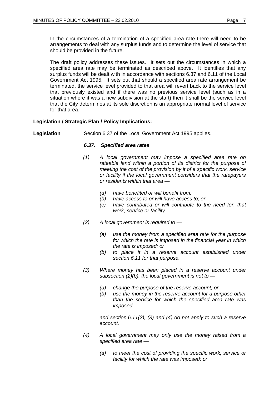In the circumstances of a termination of a specified area rate there will need to be arrangements to deal with any surplus funds and to determine the level of service that should be provided in the future.

The draft policy addresses these issues. It sets out the circumstances in which a specified area rate may be terminated as described above. It identifies that any surplus funds will be dealt with in accordance with sections 6.37 and 6.11 of the Local Government Act 1995. It sets out that should a specified area rate arrangement be terminated, the service level provided to that area will revert back to the service level that previously existed and if there was no previous service level (such as in a situation where it was a new subdivision at the start) then it shall be the service level that the City determines at its sole discretion is an appropriate normal level of service for that area.

# **Legislation / Strategic Plan / Policy Implications:**

**Legislation** Section 6.37 of the Local Government Act 1995 applies.

## *6.37. Specified area rates*

- *(1) A local government may impose a specified area rate on rateable land within a portion of its district for the purpose of meeting the cost of the provision by it of a specific work, service or facility if the local government considers that the ratepayers or residents within that area —* 
	- *(a) have benefited or will benefit from;*
	- *(b) have access to or will have access to; or*
	- *(c) have contributed or will contribute to the need for, that work, service or facility.*
- *(2) A local government is required to* 
	- *(a) use the money from a specified area rate for the purpose for which the rate is imposed in the financial year in which the rate is imposed; or*
	- *(b) to place it in a reserve account established under section 6.11 for that purpose.*
- *(3) Where money has been placed in a reserve account under subsection (2)(b), the local government is not to —* 
	- *(a) change the purpose of the reserve account; or*
	- *(b) use the money in the reserve account for a purpose other than the service for which the specified area rate was imposed,*

 *and section 6.11(2), (3) and (4) do not apply to such a reserve account.* 

- *(4) A local government may only use the money raised from a specified area rate —* 
	- *(a) to meet the cost of providing the specific work, service or facility for which the rate was imposed; or*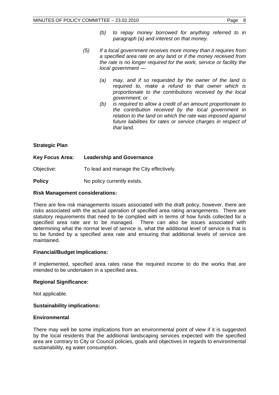- *(5) If a local government receives more money than it requires from a specified area rate on any land or if the money received from the rate is no longer required for the work, service or facility the local government —* 
	- *(a) may, and if so requested by the owner of the land is required to, make a refund to that owner which is proportionate to the contributions received by the local government; or*
	- *(b) is required to allow a credit of an amount proportionate to the contribution received by the local government in relation to the land on which the rate was imposed against future liabilities for rates or service charges in respect of that land.*

# **Strategic Plan**

# **Key Focus Area: Leadership and Governance**  Objective: To lead and manage the City effectively.

**Policy No policy currently exists.** 

# **Risk Management considerations:**

There are few risk managements issues associated with the draft policy, however, there are risks associated with the actual operation of specified area rating arrangements. There are statutory requirements that need to be complied with in terms of how funds collected for a specified area rate are to be managed. There can also be issues associated with determining what the normal level of service is, what the additional level of service is that is to be funded by a specified area rate and ensuring that additional levels of service are maintained.

# **Financial/Budget Implications:**

If implemented, specified area rates raise the required income to do the works that are intended to be undertaken in a specified area.

# **Regional Significance:**

Not applicable.

# **Sustainability implications:**

# **Environmental**

There may well be some implications from an environmental point of view if it is suggested by the local residents that the additional landscaping services expected with the specified area are contrary to City or Council policies, goals and objectives in regards to environmental sustainability, eg water consumption.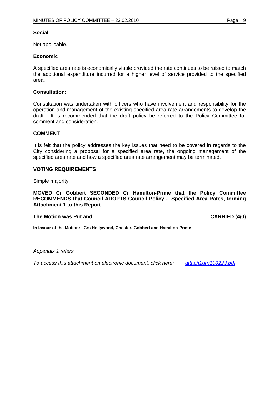#### **Social**

Not applicable.

## **Economic**

A specified area rate is economically viable provided the rate continues to be raised to match the additional expenditure incurred for a higher level of service provided to the specified area.

#### **Consultation:**

Consultation was undertaken with officers who have involvement and responsibility for the operation and management of the existing specified area rate arrangements to develop the draft. It is recommended that the draft policy be referred to the Policy Committee for comment and consideration.

## **COMMENT**

It is felt that the policy addresses the key issues that need to be covered in regards to the City considering a proposal for a specified area rate, the ongoing management of the specified area rate and how a specified area rate arrangement may be terminated.

## **VOTING REQUIREMENTS**

Simple majority.

**MOVED Cr Gobbert SECONDED Cr Hamilton-Prime that the Policy Committee RECOMMENDS that Council ADOPTS Council Policy - Specified Area Rates, forming Attachment 1 to this Report.** 

#### The Motion was Put and **CARRIED** (4/0)

**In favour of the Motion: Crs Hollywood, Chester, Gobbert and Hamilton-Prime**

#### *Appendix 1 refers*

*To access this attachment on electronic document, click here: [attach1grn100223.pdf](ATTACH1GRN100223.PDF)*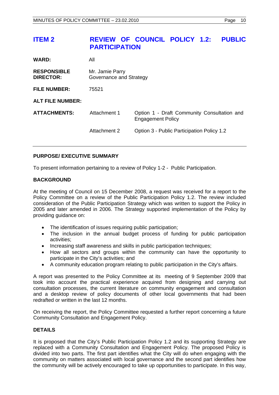# <span id="page-9-0"></span>**ITEM 2 REVIEW OF COUNCIL POLICY 1.2: PUBLIC PARTICIPATION**

| <b>WARD:</b>                           | All                                        |                                                                         |  |
|----------------------------------------|--------------------------------------------|-------------------------------------------------------------------------|--|
| <b>RESPONSIBLE</b><br><b>DIRECTOR:</b> | Mr. Jamie Parry<br>Governance and Strategy |                                                                         |  |
| <b>FILE NUMBER:</b>                    | 75521                                      |                                                                         |  |
| <b>ALT FILE NUMBER:</b>                |                                            |                                                                         |  |
| <b>ATTACHMENTS:</b>                    | Attachment 1                               | Option 1 - Draft Community Consultation and<br><b>Engagement Policy</b> |  |
|                                        | Attachment 2                               | Option 3 - Public Participation Policy 1.2                              |  |

# **PURPOSE/ EXECUTIVE SUMMARY**

To present information pertaining to a review of Policy 1-2 - Public Participation.

# **BACKGROUND**

At the meeting of Council on 15 December 2008, a request was received for a report to the Policy Committee on a review of the Public Participation Policy 1.2. The review included consideration of the Public Participation Strategy which was written to support the Policy in 2005 and later amended in 2006. The Strategy supported implementation of the Policy by providing guidance on:

- The identification of issues requiring public participation;
- The inclusion in the annual budget process of funding for public participation activities;
- Increasing staff awareness and skills in public participation techniques;
- How all sectors and groups within the community can have the opportunity to participate in the City's activities; and
- A community education program relating to public participation in the City's affairs.

A report was presented to the Policy Committee at its meeting of 9 September 2009 that took into account the practical experience acquired from designing and carrying out consultation processes, the current literature on community engagement and consultation and a desktop review of policy documents of other local governments that had been redrafted or written in the last 12 months.

On receiving the report, the Policy Committee requested a further report concerning a future Community Consultation and Engagement Policy.

# **DETAILS**

It is proposed that the City's Public Participation Policy 1.2 and its supporting Strategy are replaced with a Community Consultation and Engagement Policy. The proposed Policy is divided into two parts. The first part identifies what the City will do when engaging with the community on matters associated with local governance and the second part identifies how the community will be actively encouraged to take up opportunities to participate. In this way,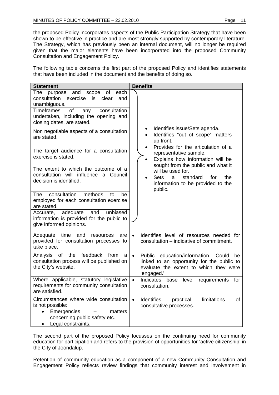the proposed Policy incorporates aspects of the Public Participation Strategy that have been shown to be effective in practice and are most strongly supported by contemporary literature. The Strategy, which has previously been an internal document, will no longer be required given that the major elements have been incorporated into the proposed Community Consultation and Engagement Policy.

The following table concerns the first part of the proposed Policy and identifies statements that have been included in the document and the benefits of doing so.

| <b>Statement</b>                                                                                                                                                                                                                        | <b>Benefits</b>                                                                                                                                                 |  |  |
|-----------------------------------------------------------------------------------------------------------------------------------------------------------------------------------------------------------------------------------------|-----------------------------------------------------------------------------------------------------------------------------------------------------------------|--|--|
| The<br>scope<br>of<br>each<br>and<br>purpose<br>consultation<br>exercise<br>clear<br>is<br>and<br>unambiguous.<br><b>Timeframes</b><br>of<br>consultation<br>any<br>undertaken, including the opening and<br>closing dates, are stated. |                                                                                                                                                                 |  |  |
| Non negotiable aspects of a consultation<br>are stated.                                                                                                                                                                                 | Identifies issue/Sets agenda.<br>Identifies "out of scope" matters<br>up front.<br>Provides for the articulation of a                                           |  |  |
| The target audience for a consultation<br>exercise is stated.                                                                                                                                                                           | representative sample.<br>Explains how information will be                                                                                                      |  |  |
| The extent to which the outcome of a<br>consultation will influence a Council<br>decision is identified.                                                                                                                                | sought from the public and what it<br>will be used for.<br><b>Sets</b><br>standard<br>for<br>the<br>a<br>information to be provided to the<br>public.           |  |  |
| consultation<br>methods<br>The<br>to<br>be<br>employed for each consultation exercise<br>are stated.                                                                                                                                    |                                                                                                                                                                 |  |  |
| adequate<br>and<br>unbiased<br>Accurate,<br>information is provided for the public to<br>give informed opinions.                                                                                                                        |                                                                                                                                                                 |  |  |
| Adequate time<br>and<br>resources<br>are<br>provided for consultation processes to<br>take place.                                                                                                                                       | Identifies level of resources needed for<br>$\bullet$<br>consultation – indicative of commitment.                                                               |  |  |
| Analysis of the feedback from<br>a<br>consultation process will be published on<br>the City's website.                                                                                                                                  | Public education/information.<br>$\bullet$<br>Could<br>be<br>linked to an opportunity for the public to<br>evaluate the extent to which they were<br>'engaged.' |  |  |
| Where applicable, statutory legislative<br>requirements for community consultation<br>are satisfied.                                                                                                                                    | Indicates<br>$\bullet$<br>base<br>level<br>requirements<br>for<br>consultation.                                                                                 |  |  |
| Circumstances where wide consultation<br>is not possible:<br>Emergencies<br>matters<br>$\bullet$<br>concerning public safety etc.<br>Legal constraints.                                                                                 | limitations<br><b>Identifies</b><br>$\bullet$<br>practical<br>οf<br>consultative processes.                                                                     |  |  |

The second part of the proposed Policy focusses on the continuing need for community education for participation and refers to the provision of opportunities for 'active citizenship' in the City of Joondalup.

Retention of community education as a component of a new Community Consultation and Engagement Policy reflects review findings that community interest and involvement in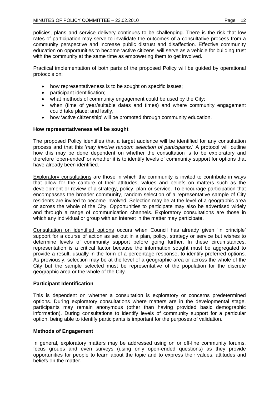policies, plans and service delivery continues to be challenging. There is the risk that low rates of participation may serve to invalidate the outcomes of a consultative process from a community perspective and increase public distrust and disaffection. Effective community education on opportunities to become 'active citizens' will serve as a vehicle for building trust with the community at the same time as empowering them to get involved.

Practical implementation of both parts of the proposed Policy will be guided by operational protocols on:

- how representativeness is to be sought on specific issues;
- participant identification;
- what methods of community engagement could be used by the City;
- when (time of year/suitable dates and times) and where community engagement could take place; and lastly,
- how 'active citizenship' will be promoted through community education.

# **How representativeness will be sought**

The proposed Policy identifies that a target audience will be identified for any consultation process and that this '*may involve random selection of participants*.' A protocol will outline how this may be done dependent on whether the consultation is to be exploratory and therefore 'open-ended' or whether it is to identify levels of community support for options that have already been identified.

Exploratory consultations are those in which the community is invited to contribute in ways that allow for the capture of their attitudes, values and beliefs on matters such as the development or review of a strategy, policy, plan or service. To encourage participation that encompasses the broader community, random selection of a representative sample of City residents are invited to become involved. Selection may be at the level of a geographic area or across the whole of the City. Opportunities to participate may also be advertised widely and through a range of communication channels. Exploratory consultations are those in which any individual or group with an interest in the matter may participate.

Consultation on identified options occurs when Council has already given 'in principle' support for a course of action as set out in a plan, policy, strategy or service but wishes to determine levels of community support before going further. In these circumstances, representation is a critical factor because the information sought must be aggregated to provide a result, usually in the form of a percentage response, to identify preferred options. As previously, selection may be at the level of a geographic area or across the whole of the City but the sample selected must be representative of the population for the discrete geographic area or the whole of the City.

# **Participant Identification**

This is dependent on whether a consultation is exploratory or concerns predetermined options. During exploratory consultations where matters are in the developmental stage, participants may remain anonymous (other than having provided basic demographic information). During consultations to identify levels of community support for a particular option, being able to identify participants is important for the purposes of validation.

# **Methods of Engagement**

In general, exploratory matters may be addressed using on or off-line community forums, focus groups and even surveys (using only open-ended questions) as they provide opportunities for people to learn about the topic and to express their values, attitudes and beliefs on the matter.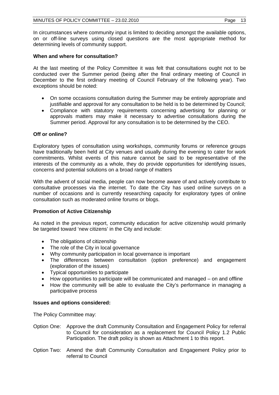In circumstances where community input is limited to deciding amongst the available options, on or off-line surveys using closed questions are the most appropriate method for determining levels of community support.

# **When and where for consultation?**

At the last meeting of the Policy Committee it was felt that consultations ought not to be conducted over the Summer period (being after the final ordinary meeting of Council in December to the first ordinary meeting of Council February of the following year). Two exceptions should be noted:

- On some occasions consultation during the Summer may be entirely appropriate and justifiable and approval for any consultation to be held is to be determined by Council;
- Compliance with statutory requirements concerning advertising for planning or approvals matters may make it necessary to advertise consultations during the Summer period. Approval for any consultation is to be determined by the CEO.

# **Off or online?**

Exploratory types of consultation using workshops, community forums or reference groups have traditionally been held at City venues and usually during the evening to cater for work commitments. Whilst events of this nature cannot be said to be representative of the interests of the community as a whole, they do provide opportunities for identifying issues, concerns and potential solutions on a broad range of matters

With the advent of social media, people can now become aware of and actively contribute to consultative processes via the internet. To date the City has used online surveys on a number of occasions and is currently researching capacity for exploratory types of online consultation such as moderated online forums or blogs.

# **Promotion of Active Citizenship**

As noted in the previous report, community education for active citizenship would primarily be targeted toward 'new citizens' in the City and include:

- The obligations of citizenship
- The role of the City in local governance
- Why community participation in local governance is important
- The differences between consultation (option preference) and engagement (exploration of the issues)
- Typical opportunities to participate
- How opportunities to participate will be communicated and managed on and offline
- How the community will be able to evaluate the City's performance in managing a participative process

# **Issues and options considered:**

The Policy Committee may:

- Option One: Approve the draft Community Consultation and Engagement Policy for referral to Council for consideration as a replacement for Council Policy 1.2 Public Participation. The draft policy is shown as Attachment 1 to this report.
- Option Two: Amend the draft Community Consultation and Engagement Policy prior to referral to Council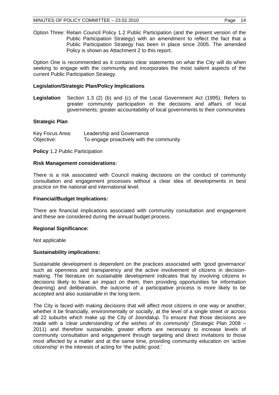Option Three: Retain Council Policy 1.2 Public Participation (and the present version of the Public Participation Strategy) with an amendment to reflect the fact that a Public Participation Strategy has been in place since 2005. The amended Policy is shown as Attachment 2 to this report.

Option One is recommended as it contains clear statements on what the City will do when seeking to engage with the community and incorporates the most salient aspects of the current Public Participation Strategy.

## **Legislation/Strategic Plan/Policy Implications**

**Legislation** Section 1.3 (2) (b) and (c) of the Local Government Act (1995). Refers to greater community participation in the decisions and affairs of local governments; greater accountability of local governments to their communities

#### **Strategic Plan**

| Key Focus Area: | Leadership and Governance                |
|-----------------|------------------------------------------|
| Objective:      | To engage proactively with the community |

**Policy** 1.2 Public Participation

#### **Risk Management considerations:**

There is a risk associated with Council making decisions on the conduct of community consultation and engagement processes without a clear idea of developments in best practice on the national and international level.

#### **Financial/Budget Implications:**

There are financial implications associated with community consultation and engagement and these are considered during the annual budget process.

#### **Regional Significance:**

Not applicable

#### **Sustainability implications:**

Sustainable development is dependent on the practices associated with 'good governance' such as openness and transparency and the active involvement of citizens in decisionmaking. The literature on sustainable development indicates that by involving citizens in decisions likely to have an impact on them, then providing opportunities for information (learning) and deliberation, the outcome of a participative process is more likely to be accepted and also sustainable in the long term.

The City is faced with making decisions that will affect most citizens in one way or another, whether it be financially, environmentally or socially, at the level of a single street or across all 22 suburbs which make up the City of Joondalup. To ensure that those decisions are made with a '*clear understanding of the wishes of its community*' (Strategic Plan 2008 – 2011) and therefore sustainable, greater efforts are necessary to increase levels of community consultation and engagement through targeting and direct invitations to those most affected by a matter and at the same time, providing community education on 'active citizenship' in the interests of acting for 'the public good.'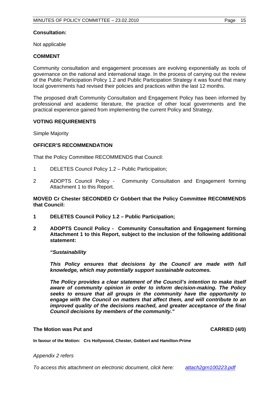## **Consultation:**

Not applicable

# **COMMENT**

Community consultation and engagement processes are evolving exponentially as tools of governance on the national and international stage. In the process of carrying out the review of the Public Participation Policy 1.2 and Public Participation Strategy it was found that many local governments had revised their policies and practices within the last 12 months.

The proposed draft Community Consultation and Engagement Policy has been informed by professional and academic literature, the practice of other local governments and the practical experience gained from implementing the current Policy and Strategy.

# **VOTING REQUIREMENTS**

Simple Majority

# **OFFICER'S RECOMMENDATION**

That the Policy Committee RECOMMENDS that Council:

- 1 DELETES Council Policy 1.2 Public Participation;
- 2 ADOPTS Council Policy Community Consultation and Engagement forming Attachment 1 to this Report.

## **MOVED Cr Chester SECONDED Cr Gobbert that the Policy Committee RECOMMENDS that Council:**

- **1 DELETES Council Policy 1.2 Public Participation;**
- **2 ADOPTS Council Policy Community Consultation and Engagement forming Attachment 1 to this Report, subject to the inclusion of the following additional statement:**

#### *"Sustainability*

*This Policy ensures that decisions by the Council are made with full knowledge, which may potentially support sustainable outcomes.* 

*The Policy provides a clear statement of the Council's intention to make itself aware of community opinion in order to inform decision-making. The Policy seeks to ensure that all groups in the community have the opportunity to engage with the Council on matters that affect them, and will contribute to an improved quality of the decisions reached, and greater acceptance of the final Council decisions by members of the community."* 

#### **The Motion was Put and CARRIED (4/0) CARRIED (4/0)**

**In favour of the Motion: Crs Hollywood, Chester, Gobbert and Hamilton-Prime**

#### *Appendix 2 refers*

*To access this attachment on electronic document, click here: [attach2grn100223.pdf](ATTACH2GRN100223.PDF)*